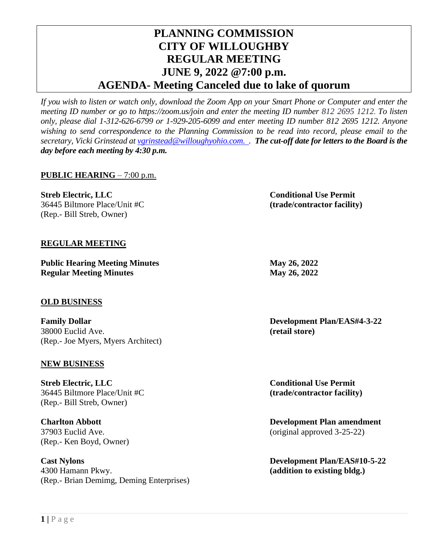# **PLANNING COMMISSION CITY OF WILLOUGHBY REGULAR MEETING JUNE 9, 2022 @7:00 p.m. AGENDA- Meeting Canceled due to lake of quorum**

*If you wish to listen or watch only, download the Zoom App on your Smart Phone or Computer and enter the meeting ID number or go to https://zoom.us/join and enter the meeting ID number 812 2695 1212. To listen only, please dial 1-312-626-6799 or 1-929-205-6099 and enter meeting ID number 812 2695 1212. Anyone wishing to send correspondence to the Planning Commission to be read into record, please email to the secretary, Vicki Grinstead at [vgrinstead@willoughyohio.com.](mailto:vgrinstead@willoughyohio.com) . The cut-off date for letters to the Board is the day before each meeting by 4:30 p.m.* 

# **PUBLIC HEARING** – 7:00 p.m.

**Streb Electric, LLC Conditional Use Permit** 36445 Biltmore Place/Unit #C **(trade/contractor facility)** (Rep.- Bill Streb, Owner)

## **REGULAR MEETING**

**Public Hearing Meeting Minutes May 26, 2022 Regular Meeting Minutes May 26, 2022** 

### **OLD BUSINESS**

**Family Dollar Development Plan/EAS#4-3-22** 38000 Euclid Ave. **(retail store)** (Rep.- Joe Myers, Myers Architect)

### **NEW BUSINESS**

**Streb Electric, LLC Conditional Use Permit** 36445 Biltmore Place/Unit #C **(trade/contractor facility)** (Rep.- Bill Streb, Owner)

(Rep.- Ken Boyd, Owner)

**Cast Nylons Development Plan/EAS#10-5-22** 4300 Hamann Pkwy. **(addition to existing bldg.)** (Rep.- Brian Demimg, Deming Enterprises)

**Charlton Abbott Development Plan amendment** 37903 Euclid Ave. (original approved 3-25-22)